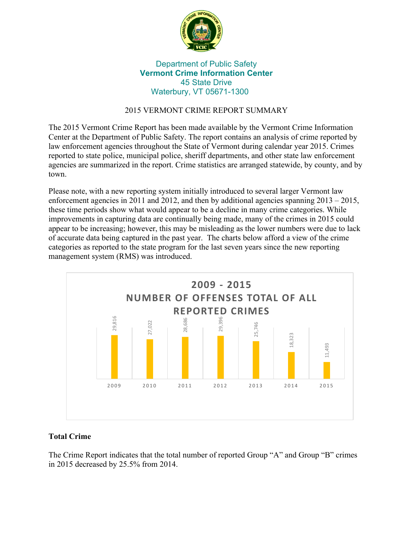

# Department of Public Safety **Vermont Crime Information Center** 45 State Drive Waterbury, VT 05671-1300

# 2015 VERMONT CRIME REPORT SUMMARY

The 2015 Vermont Crime Report has been made available by the Vermont Crime Information Center at the Department of Public Safety. The report contains an analysis of crime reported by law enforcement agencies throughout the State of Vermont during calendar year 2015. Crimes reported to state police, municipal police, sheriff departments, and other state law enforcement agencies are summarized in the report. Crime statistics are arranged statewide, by county, and by town.

Please note, with a new reporting system initially introduced to several larger Vermont law enforcement agencies in 2011 and 2012, and then by additional agencies spanning  $2013 - 2015$ , these time periods show what would appear to be a decline in many crime categories. While improvements in capturing data are continually being made, many of the crimes in 2015 could appear to be increasing; however, this may be misleading as the lower numbers were due to lack of accurate data being captured in the past year. The charts below afford a view of the crime categories as reported to the state program for the last seven years since the new reporting management system (RMS) was introduced.



# **Total Crime**

The Crime Report indicates that the total number of reported Group "A" and Group "B" crimes in 2015 decreased by 25.5% from 2014.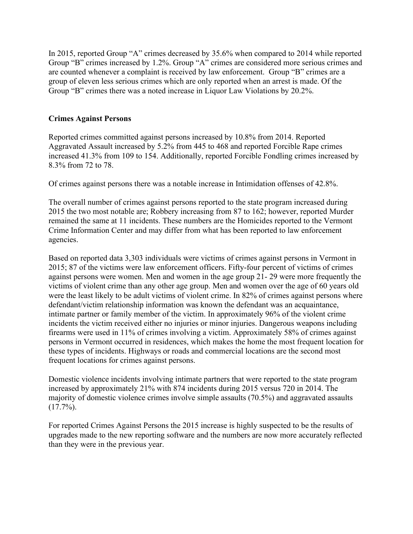In 2015, reported Group "A" crimes decreased by 35.6% when compared to 2014 while reported Group "B" crimes increased by 1.2%. Group "A" crimes are considered more serious crimes and are counted whenever a complaint is received by law enforcement. Group "B" crimes are a group of eleven less serious crimes which are only reported when an arrest is made. Of the Group "B" crimes there was a noted increase in Liquor Law Violations by 20.2%.

#### **Crimes Against Persons**

Reported crimes committed against persons increased by 10.8% from 2014. Reported Aggravated Assault increased by 5.2% from 445 to 468 and reported Forcible Rape crimes increased 41.3% from 109 to 154. Additionally, reported Forcible Fondling crimes increased by 8.3% from 72 to 78.

Of crimes against persons there was a notable increase in Intimidation offenses of 42.8%.

The overall number of crimes against persons reported to the state program increased during 2015 the two most notable are; Robbery increasing from 87 to 162; however, reported Murder remained the same at 11 incidents. These numbers are the Homicides reported to the Vermont Crime Information Center and may differ from what has been reported to law enforcement agencies.

Based on reported data 3,303 individuals were victims of crimes against persons in Vermont in 2015; 87 of the victims were law enforcement officers. Fifty-four percent of victims of crimes against persons were women. Men and women in the age group 21- 29 were more frequently the victims of violent crime than any other age group. Men and women over the age of 60 years old were the least likely to be adult victims of violent crime. In 82% of crimes against persons where defendant/victim relationship information was known the defendant was an acquaintance, intimate partner or family member of the victim. In approximately 96% of the violent crime incidents the victim received either no injuries or minor injuries. Dangerous weapons including firearms were used in 11% of crimes involving a victim. Approximately 58% of crimes against persons in Vermont occurred in residences, which makes the home the most frequent location for these types of incidents. Highways or roads and commercial locations are the second most frequent locations for crimes against persons.

Domestic violence incidents involving intimate partners that were reported to the state program increased by approximately 21% with 874 incidents during 2015 versus 720 in 2014. The majority of domestic violence crimes involve simple assaults (70.5%) and aggravated assaults  $(17.7\%)$ .

For reported Crimes Against Persons the 2015 increase is highly suspected to be the results of upgrades made to the new reporting software and the numbers are now more accurately reflected than they were in the previous year.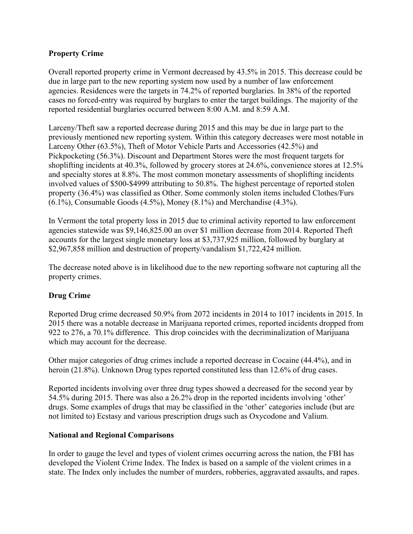### **Property Crime**

Overall reported property crime in Vermont decreased by 43.5% in 2015. This decrease could be due in large part to the new reporting system now used by a number of law enforcement agencies. Residences were the targets in 74.2% of reported burglaries. In 38% of the reported cases no forced-entry was required by burglars to enter the target buildings. The majority of the reported residential burglaries occurred between 8:00 A.M. and 8:59 A.M.

Larceny/Theft saw a reported decrease during 2015 and this may be due in large part to the previously mentioned new reporting system. Within this category decreases were most notable in Larceny Other (63.5%), Theft of Motor Vehicle Parts and Accessories (42.5%) and Pickpocketing (56.3%). Discount and Department Stores were the most frequent targets for shoplifting incidents at 40.3%, followed by grocery stores at 24.6%, convenience stores at 12.5% and specialty stores at 8.8%. The most common monetary assessments of shoplifting incidents involved values of \$500-\$4999 attributing to 50.8%. The highest percentage of reported stolen property (36.4%) was classified as Other. Some commonly stolen items included Clothes/Furs (6.1%), Consumable Goods (4.5%), Money (8.1%) and Merchandise (4.3%).

In Vermont the total property loss in 2015 due to criminal activity reported to law enforcement agencies statewide was \$9,146,825.00 an over \$1 million decrease from 2014. Reported Theft accounts for the largest single monetary loss at \$3,737,925 million, followed by burglary at \$2,967,858 million and destruction of property/vandalism \$1,722,424 million.

The decrease noted above is in likelihood due to the new reporting software not capturing all the property crimes.

### **Drug Crime**

Reported Drug crime decreased 50.9% from 2072 incidents in 2014 to 1017 incidents in 2015. In 2015 there was a notable decrease in Marijuana reported crimes, reported incidents dropped from 922 to 276, a 70.1% difference. This drop coincides with the decriminalization of Marijuana which may account for the decrease.

Other major categories of drug crimes include a reported decrease in Cocaine (44.4%), and in heroin (21.8%). Unknown Drug types reported constituted less than 12.6% of drug cases.

Reported incidents involving over three drug types showed a decreased for the second year by 54.5% during 2015. There was also a 26.2% drop in the reported incidents involving 'other' drugs. Some examples of drugs that may be classified in the 'other' categories include (but are not limited to) Ecstasy and various prescription drugs such as Oxycodone and Valium.

### **National and Regional Comparisons**

In order to gauge the level and types of violent crimes occurring across the nation, the FBI has developed the Violent Crime Index. The Index is based on a sample of the violent crimes in a state. The Index only includes the number of murders, robberies, aggravated assaults, and rapes.